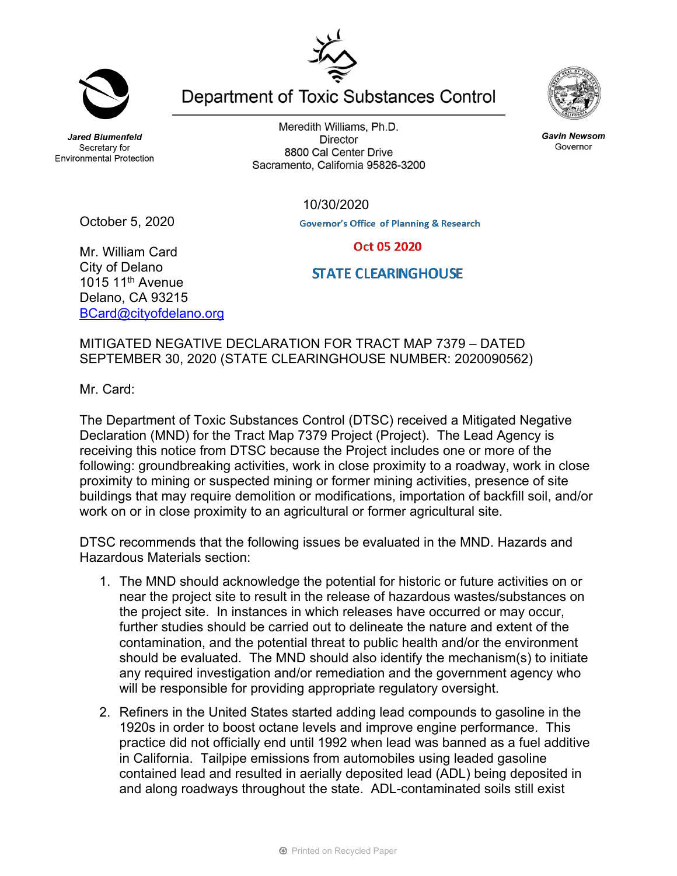**Jared Blumenfeld** Secretary for **Environmental Protection** 

October 5, 2020

Meredith Williams, Ph.D. **Director** 8800 Cal Center Drive Sacramento, California 95826-3200

Department of Toxic Substances Control

**Governor's Office of Planning & Research** Oct 05 2020

10/30/2020

Mr. William Card City of Delano 1015 11<sup>th</sup> Avenue Delano, CA 93215 BCard@cityofdelano.org

## MITIGATED NEGATIVE DECLARATION FOR TRACT MAP 7379 – DATED SEPTEMBER 30, 2020 (STATE CLEARINGHOUSE NUMBER: 2020090562)

Mr. Card:

The Department of Toxic Substances Control (DTSC) received a Mitigated Negative Declaration (MND) for the Tract Map 7379 Project (Project). The Lead Agency is receiving this notice from DTSC because the Project includes one or more of the following: groundbreaking activities, work in close proximity to a roadway, work in close proximity to mining or suspected mining or former mining activities, presence of site buildings that may require demolition or modifications, importation of backfill soil, and/or work on or in close proximity to an agricultural or former agricultural site.

DTSC recommends that the following issues be evaluated in the MND. Hazards and Hazardous Materials section:

- 1. The MND should acknowledge the potential for historic or future activities on or near the project site to result in the release of hazardous wastes/substances on the project site. In instances in which releases have occurred or may occur, further studies should be carried out to delineate the nature and extent of the contamination, and the potential threat to public health and/or the environment should be evaluated. The MND should also identify the mechanism(s) to initiate any required investigation and/or remediation and the government agency who will be responsible for providing appropriate regulatory oversight.
- 2. Refiners in the United States started adding lead compounds to gasoline in the 1920s in order to boost octane levels and improve engine performance. This practice did not officially end until 1992 when lead was banned as a fuel additive in California. Tailpipe emissions from automobiles using leaded gasoline contained lead and resulted in aerially deposited lead (ADL) being deposited in and along roadways throughout the state. ADL-contaminated soils still exist

**Gavin Newsom** Governor





**STATE CLEARINGHOUSE**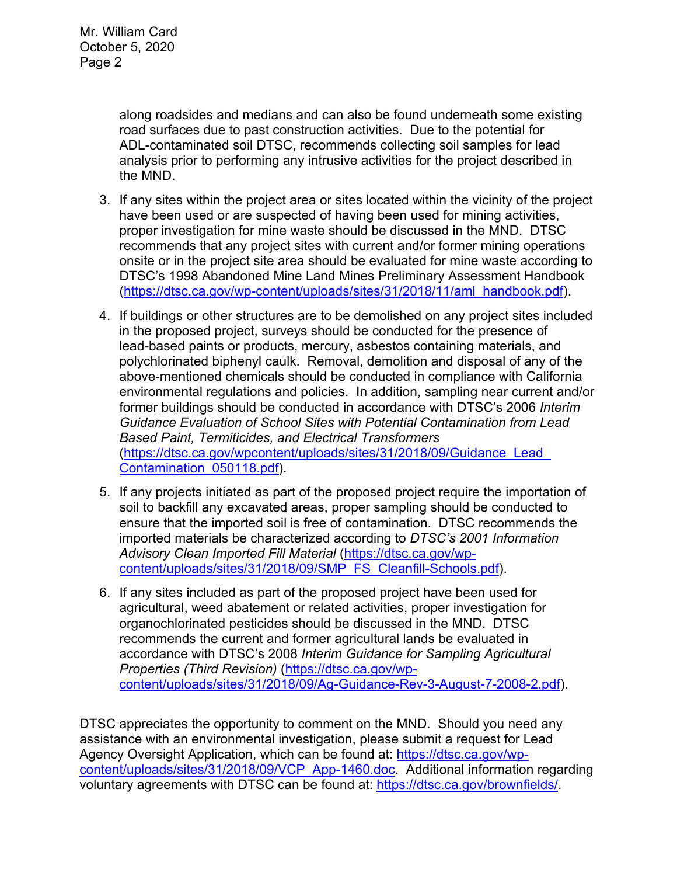along roadsides and medians and can also be found underneath some existing road surfaces due to past construction activities. Due to the potential for ADL-contaminated soil DTSC, recommends collecting soil samples for lead analysis prior to performing any intrusive activities for the project described in the MND.

- 3. If any sites within the project area or sites located within the vicinity of the project have been used or are suspected of having been used for mining activities, proper investigation for mine waste should be discussed in the MND. DTSC recommends that any project sites with current and/or former mining operations onsite or in the project site area should be evaluated for mine waste according to DTSC's 1998 Abandoned Mine Land Mines Preliminary Assessment Handbook (https://dtsc.ca.gov/wp-content/uploads/sites/31/2018/11/aml\_handbook.pdf).
- 4. If buildings or other structures are to be demolished on any project sites included in the proposed project, surveys should be conducted for the presence of lead-based paints or products, mercury, asbestos containing materials, and polychlorinated biphenyl caulk. Removal, demolition and disposal of any of the above-mentioned chemicals should be conducted in compliance with California environmental regulations and policies. In addition, sampling near current and/or former buildings should be conducted in accordance with DTSC's 2006 *Interim Guidance Evaluation of School Sites with Potential Contamination from Lead Based Paint, Termiticides, and Electrical Transformers*  (https://dtsc.ca.gov/wpcontent/uploads/sites/31/2018/09/Guidance\_Lead\_ Contamination\_050118.pdf).
- 5. If any projects initiated as part of the proposed project require the importation of soil to backfill any excavated areas, proper sampling should be conducted to ensure that the imported soil is free of contamination. DTSC recommends the imported materials be characterized according to *DTSC's 2001 Information Advisory Clean Imported Fill Material* (https://dtsc.ca.gov/wpcontent/uploads/sites/31/2018/09/SMP\_FS\_Cleanfill-Schools.pdf).
- 6. If any sites included as part of the proposed project have been used for agricultural, weed abatement or related activities, proper investigation for organochlorinated pesticides should be discussed in the MND. DTSC recommends the current and former agricultural lands be evaluated in accordance with DTSC's 2008 *Interim Guidance for Sampling Agricultural Properties (Third Revision)* (https://dtsc.ca.gov/wpcontent/uploads/sites/31/2018/09/Ag-Guidance-Rev-3-August-7-2008-2.pdf).

DTSC appreciates the opportunity to comment on the MND. Should you need any assistance with an environmental investigation, please submit a request for Lead Agency Oversight Application, which can be found at: https://dtsc.ca.gov/wpcontent/uploads/sites/31/2018/09/VCP\_App-1460.doc. Additional information regarding voluntary agreements with DTSC can be found at: https://dtsc.ca.gov/brownfields/.